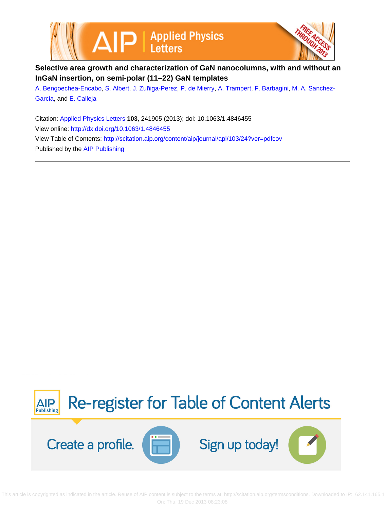



## **Selective area growth and characterization of GaN nanocolumns, with and without an InGaN insertion, on semi-polar (11–22) GaN templates**

[A. Bengoechea-Encabo,](http://scitation.aip.org/search?value1=A.+Bengoechea-Encabo&option1=author) [S. Albert,](http://scitation.aip.org/search?value1=S.+Albert&option1=author) [J. Zuñiga-Perez,](http://scitation.aip.org/search?value1=J.+Zu�iga-Perez&option1=author) [P. de Mierry](http://scitation.aip.org/search?value1=P.+de+Mierry&option1=author), [A. Trampert](http://scitation.aip.org/search?value1=A.+Trampert&option1=author), [F. Barbagini,](http://scitation.aip.org/search?value1=F.+Barbagini&option1=author) [M. A. Sanchez-](http://scitation.aip.org/search?value1=M.+A.+Sanchez-Garcia&option1=author)[Garcia](http://scitation.aip.org/search?value1=M.+A.+Sanchez-Garcia&option1=author), and [E. Calleja](http://scitation.aip.org/search?value1=E.+Calleja&option1=author)

Citation: [Applied Physics Letters](http://scitation.aip.org/content/aip/journal/apl?ver=pdfcov) **103**, 241905 (2013); doi: 10.1063/1.4846455 View online: <http://dx.doi.org/10.1063/1.4846455> View Table of Contents: <http://scitation.aip.org/content/aip/journal/apl/103/24?ver=pdfcov> Published by the [AIP Publishing](http://scitation.aip.org/content/aip?ver=pdfcov)



 This article is copyrighted as indicated in the article. Reuse of AIP content is subject to the terms at: http://scitation.aip.org/termsconditions. Downloaded to IP: 62.141.165.1 On: Thu, 19 Dec 2013 08:23:08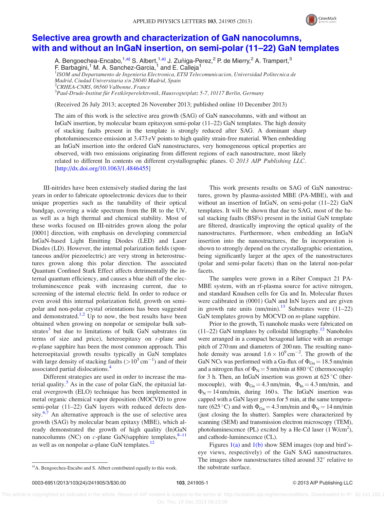

## [Selective area growth and characterization of GaN nanocolumns,](http://dx.doi.org/10.1063/1.4846455) [with and without an InGaN insertion, on semi-polar \(11–22\) GaN templates](http://dx.doi.org/10.1063/1.4846455)

A. Bengoechea-Encabo,<sup>1,a)</sup> S. Albert,<sup>1,a)</sup> J. Zuñiga-Perez,<sup>2</sup> P. de Mierry,<sup>2</sup> A. Trampert,<sup>3</sup> F. Barbagini,<sup>1</sup> M. A. Sanchez-Garcia,<sup>1</sup> and E. Calleja<sup>1</sup>

<sup>1</sup>ISOM and Departamento de Ingenieria Electronica, ETSI Telecomunicacion, Universidad Politecnica de Madrid, Ciudad Universitaria s/n 28040 Madrid, Spain

2 CRHEA-CNRS, 06560 Valbonne, France

 $^3$ Paul-Drude-Institut für Festkörperelektronik, Hausvogteiplatz 5-7, 10117 Berlin, Germany

(Received 26 July 2013; accepted 26 November 2013; published online 10 December 2013)

The aim of this work is the selective area growth (SAG) of GaN nanocolumns, with and without an InGaN insertion, by molecular beam epitaxyon semi-polar (11–22) GaN templates. The high density of stacking faults present in the template is strongly reduced after SAG. A dominant sharp photoluminescence emission at 3.473 eV points to high quality strain-free material. When embedding an InGaN insertion into the ordered GaN nanostructures, very homogeneous optical properties are observed, with two emissions originating from different regions of each nanostructure, most likely related to different In contents on different crystallographic planes. © 2013 AIP Publishing LLC. [\[http://dx.doi.org/10.1063/1.4846455](http://dx.doi.org/10.1063/1.4846455)]

III-nitrides have been extensively studied during the last years in order to fabricate optoelectronic devices due to their unique properties such as the tunability of their optical bandgap, covering a wide spectrum from the IR to the UV, as well as a high thermal and chemical stability. Most of these works focused on III-nitrides grown along the polar [0001] direction, with emphasis on developing commercial InGaN-based Light Emitting Diodes (LED) and Laser Diodes (LD). However, the internal polarization fields (spontaneous and/or piezoelectric) are very strong in heterostructures grown along this polar direction. The associated Quantum Confined Stark Effect affects detrimentally the internal quantum efficiency, and causes a blue shift of the electroluminescence peak with increasing current, due to screening of the internal electric field. In order to reduce or even avoid this internal polarization field, growth on semipolar and non-polar crystal orientations has been suggested and demonstrated.<sup>[1,2](#page-3-0)</sup> Up to now, the best results have been obtained when growing on nonpolar or semipolar bulk substrates $3$  but due to limitations of bulk GaN substrates (in terms of size and price), heteroepitaxy on  $r$ -plane and  $m$ -plane sapphire has been the most common approach. This heteroepitaxial growth results typically in GaN templates with large density of stacking faults  $(>10^5 \text{ cm}^{-1})$  and of their associated partial dislocations[.4](#page-3-0)

Different strategies are used in order to increase the ma-terial quality.<sup>[5](#page-3-0)</sup> As in the case of polar GaN, the epitaxial lateral overgrowth (ELO) technique has been implemented in metal organic chemical vapor deposition (MOCVD) to grow semi-polar (11–22) GaN layers with reduced defects density. $6,7$  An alternative approach is the use of selective area growth (SAG) by molecular beam epitaxy (MBE), which already demonstrated the growth of high quality (In)GaN nanocolumns (NC) on  $c$ -plane GaN/sapphire templates,  $8-11$ as well as on nonpolar  $a$ -plane GaN templates.<sup>[12](#page-3-0)</sup>

This work presents results on SAG of GaN nanostructures, grown by plasma-assisted MBE (PA-MBE), with and without an insertion of InGaN, on semi-polar (11–22) GaN templates. It will be shown that due to SAG, most of the basal stacking faults (BSFs) present in the initial GaN template are filtered, drastically improving the optical quality of the nanostructures. Furthermore, when embedding an InGaN insertion into the nanostructures, the In incorporation is shown to strongly depend on the crystallographic orientation, being significantly larger at the apex of the nanostructures (polar and semi-polar facets) than on the lateral non-polar facets.

The samples were grown in a Riber Compact 21 PA-MBE system, with an rf-plasma source for active nitrogen, and standard Knudsen cells for Ga and In. Molecular fluxes were calibrated in (0001) GaN and InN layers and are given in growth rate units  $(nm/min)$ .<sup>13</sup> Substrates were (11–22) GaN templates grown by MOCVD on *m*-plane sapphire.

Prior to the growth, Ti nanohole masks were fabricated on (11–22) GaN templates by colloidal lithography.<sup>[12](#page-3-0)</sup> Nanoholes were arranged in a compact hexagonal lattice with an average pitch of 270 nm and diameters of 200 nm. The resulting nanohole density was around  $1.6 \times 10^{9}$  cm<sup>-2</sup>. The growth of the GaN NCs was performed with a Ga-flux of  $\Phi_{Ga} = 18.5$  nm/min and a nitrogen flux of  $\Phi_N = 5$  nm/min at 880 °C (thermocouple) for 3 h. Then, an InGaN insertion was grown at  $625^{\circ}$ C (thermocouple), with  $\Phi_{Ga} = 4.3$  nm/min,  $\Phi_{In} = 4.3$  nm/min, and  $\Phi_N = 14$  nm/min, during 160 s. The InGaN insertion was capped with a GaN layer grown for 5 min, at the same temperature (625 °C) and with  $\Phi_{Ga} = 4.3$  nm/min and  $\Phi_N = 14$  nm/min (just closing the In shutter). Samples were characterized by scanning (SEM) and transmission electron microscopy (TEM), photoluminescence (PL) excited by a He-Cd laser  $(1 \text{ W/cm}^2)$ , and cathode-luminescence (CL).

Figures  $1(a)$  and  $1(b)$  show SEM images (top and bird'seye views, respectively) of the GaN SAG nanostructures. The images show nanostructures tilted around  $32^{\circ}$  relative to a)A. Bengoechea-Encabo and S. Albert contributed equally to this work. **the substrate surface.**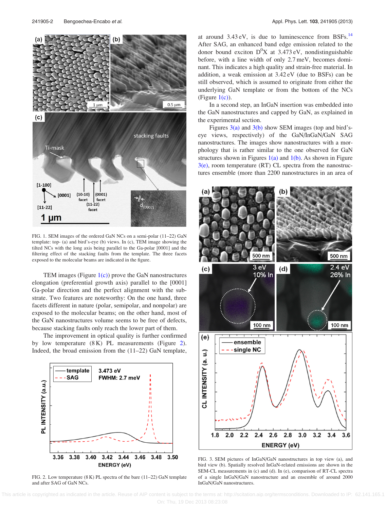<span id="page-2-0"></span>

FIG. 1. SEM images of the ordered GaN NCs on a semi-polar (11–22) GaN template: top- (a) and bird's-eye (b) views. In (c), TEM image showing the tilted NCs with the long axis being parallel to the Ga-polar [0001] and the filtering effect of the stacking faults from the template. The three facets exposed to the molecular beams are indicated in the figure.

TEM images (Figure  $1(c)$ ) prove the GaN nanostructures elongation (preferential growth axis) parallel to the [0001] Ga-polar direction and the perfect alignment with the substrate. Two features are noteworthy: On the one hand, three facets different in nature (polar, semipolar, and nonpolar) are exposed to the molecular beams; on the other hand, most of the GaN nanostructures volume seems to be free of defects, because stacking faults only reach the lower part of them.

The improvement in optical quality is further confirmed by low temperature (8 K) PL measurements (Figure 2). Indeed, the broad emission from the (11–22) GaN template,



FIG. 2. Low temperature (8 K) PL spectra of the bare (11–22) GaN template and after SAG of GaN NCs.

at around  $3.43 \text{ eV}$ , is due to luminescence from BSFs.<sup>[14](#page-3-0)</sup> After SAG, an enhanced band edge emission related to the donor bound exciton  $D^0X$  at 3.473 eV, nondistinguishable before, with a line width of only 2.7 meV, becomes dominant. This indicates a high quality and strain-free material. In addition, a weak emission at 3.42 eV (due to BSFs) can be still observed, which is assumed to originate from either the underlying GaN template or from the bottom of the NCs (Figure  $1(c)$ ).

In a second step, an InGaN insertion was embedded into the GaN nanostructures and capped by GaN, as explained in the experimental section.

Figures 3(a) and 3(b) show SEM images (top and bird'seye views, respectively) of the GaN/InGaN/GaN SAG nanostructures. The images show nanostructures with a morphology that is rather similar to the one observed for GaN structures shown in Figures  $1(a)$  and  $1(b)$ . As shown in Figure  $3(e)$ , room temperature (RT) CL spectra from the nanostructures ensemble (more than 2200 nanostructures in an area of



FIG. 3. SEM pictures of InGaN/GaN nanostructures in top view (a), and bird view (b). Spatially resolved InGaN-related emissions are shown in the SEM-CL measurements in (c) and (d). In (e), comparison of RT-CL spectra of a single InGaN/GaN nanostructure and an ensemble of around 2000 InGaN/GaN nanostructures.

 This article is copyrighted as indicated in the article. Reuse of AIP content is subject to the terms at: http://scitation.aip.org/termsconditions. Downloaded to IP: 62.141.165.1 On: Thu, 19 Dec 2013 08:23:08